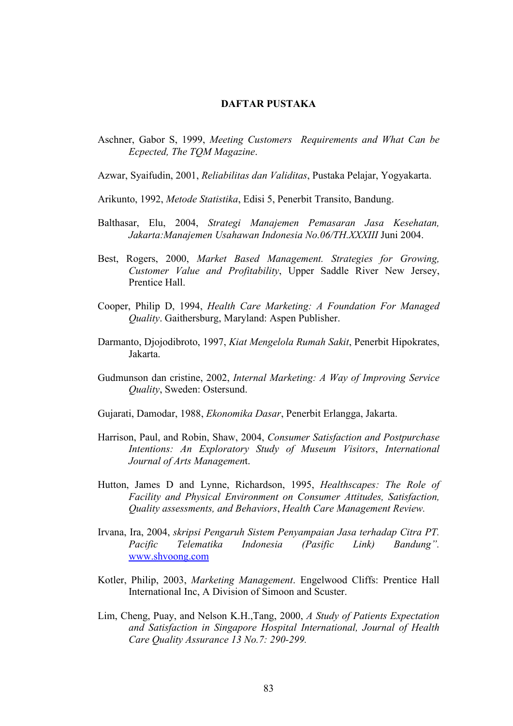## **DAFTAR PUSTAKA**

- Aschner, Gabor S, 1999, *Meeting Customers Requirements and What Can be Ecpected, The TQM Magazine*.
- Azwar, Syaifudin, 2001, *Reliabilitas dan Validitas*, Pustaka Pelajar, Yogyakarta.
- Arikunto, 1992, *Metode Statistika*, Edisi 5, Penerbit Transito, Bandung.
- Balthasar, Elu, 2004, *Strategi Manajemen Pemasaran Jasa Kesehatan, Jakarta:Manajemen Usahawan Indonesia No.06/TH.XXXIII* Juni 2004.
- Best, Rogers, 2000, *Market Based Management. Strategies for Growing, Customer Value and Profitability*, Upper Saddle River New Jersey, Prentice Hall.
- Cooper, Philip D, 1994, *Health Care Marketing: A Foundation For Managed Quality*. Gaithersburg, Maryland: Aspen Publisher.
- Darmanto, Djojodibroto, 1997, *Kiat Mengelola Rumah Sakit*, Penerbit Hipokrates, Jakarta.
- Gudmunson dan cristine, 2002, *Internal Marketing: A Way of Improving Service Quality*, Sweden: Ostersund.
- Gujarati, Damodar, 1988, *Ekonomika Dasar*, Penerbit Erlangga, Jakarta.
- Harrison, Paul, and Robin, Shaw, 2004, *Consumer Satisfaction and Postpurchase Intentions: An Exploratory Study of Museum Visitors*, *International Journal of Arts Managemen*t.
- Hutton, James D and Lynne, Richardson, 1995, *Healthscapes: The Role of Facility and Physical Environment on Consumer Attitudes, Satisfaction, Quality assessments, and Behaviors*, *Health Care Management Review.*
- Irvana, Ira, 2004, *skripsi Pengaruh Sistem Penyampaian Jasa terhadap Citra PT. Pacific Telematika Indonesia (Pasific Link) Bandung".* www.shvoong.com
- Kotler, Philip, 2003, *Marketing Management*. Engelwood Cliffs: Prentice Hall International Inc, A Division of Simoon and Scuster.
- Lim, Cheng, Puay, and Nelson K.H.,Tang, 2000, *A Study of Patients Expectation and Satisfaction in Singapore Hospital International, Journal of Health Care Quality Assurance 13 No.7: 290-299.*